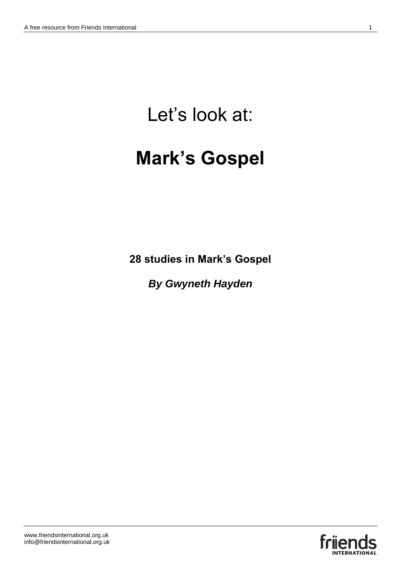# Let's look at:

# **Mark's Gospel**

**28 studies in Mark's Gospel**

*By Gwyneth Hayden*

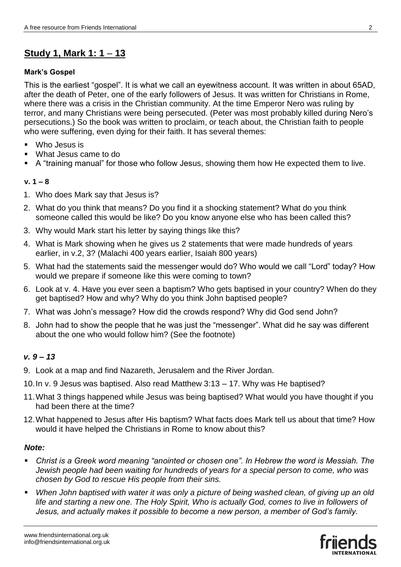# **Study 1, Mark 1: 1** *–* **13**

#### **Mark's Gospel**

This is the earliest "gospel". It is what we call an eyewitness account. It was written in about 65AD, after the death of Peter, one of the early followers of Jesus. It was written for Christians in Rome, where there was a crisis in the Christian community. At the time Emperor Nero was ruling by terror, and many Christians were being persecuted. (Peter was most probably killed during Nero's persecutions.) So the book was written to proclaim, or teach about, the Christian faith to people who were suffering, even dying for their faith. It has several themes:

- Who Jesus is
- What Jesus came to do
- A "training manual" for those who follow Jesus, showing them how He expected them to live.

## **v. 1** *–* **8**

- 1. Who does Mark say that Jesus is?
- 2. What do you think that means? Do you find it a shocking statement? What do you think someone called this would be like? Do you know anyone else who has been called this?
- 3. Why would Mark start his letter by saying things like this?
- 4. What is Mark showing when he gives us 2 statements that were made hundreds of years earlier, in v.2, 3? (Malachi 400 years earlier, Isaiah 800 years)
- 5. What had the statements said the messenger would do? Who would we call "Lord" today? How would we prepare if someone like this were coming to town?
- 6. Look at v. 4. Have you ever seen a baptism? Who gets baptised in your country? When do they get baptised? How and why? Why do you think John baptised people?
- 7. What was John's message? How did the crowds respond? Why did God send John?
- 8. John had to show the people that he was just the "messenger". What did he say was different about the one who would follow him? (See the footnote)

# *v. 9 – 13*

- 9. Look at a map and find Nazareth, Jerusalem and the River Jordan.
- 10.In v. 9 Jesus was baptised. Also read Matthew 3:13 17. Why was He baptised?
- 11.What 3 things happened while Jesus was being baptised? What would you have thought if you had been there at the time?
- 12.What happened to Jesus after His baptism? What facts does Mark tell us about that time? How would it have helped the Christians in Rome to know about this?

## *Note:*

- *Christ is a Greek word meaning "anointed or chosen one". In Hebrew the word is Messiah. The Jewish people had been waiting for hundreds of years for a special person to come, who was chosen by God to rescue His people from their sins.*
- *When John baptised with water it was only a picture of being washed clean, of giving up an old life and starting a new one. The Holy Spirit, Who is actually God, comes to live in followers of Jesus, and actually makes it possible to become a new person, a member of God's family.*

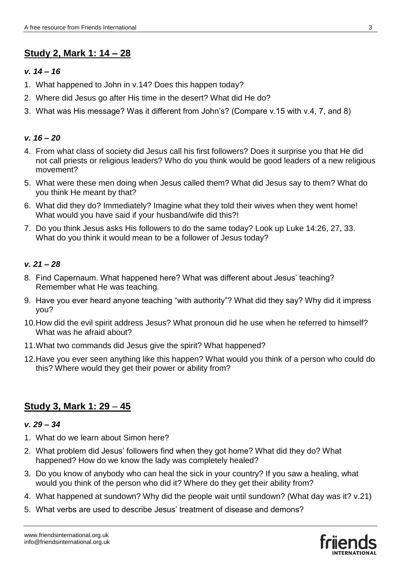# **Study 2, Mark 1: 14** *–* **28**

## *v. 14 – 16*

- 1. What happened to John in v.14? Does this happen today?
- 2. Where did Jesus go after His time in the desert? What did He do?
- 3. What was His message? Was it different from John's? (Compare v.15 with v.4, 7, and 8)

## *v. 16 – 20*

- 4. From what class of society did Jesus call his first followers? Does it surprise you that He did not call priests or religious leaders? Who do you think would be good leaders of a new religious movement?
- 5. What were these men doing when Jesus called them? What did Jesus say to them? What do you think He meant by that?
- 6. What did they do? Immediately? Imagine what they told their wives when they went home! What would you have said if your husband/wife did this?!
- 7. Do you think Jesus asks His followers to do the same today? Look up Luke 14:26, 27, 33. What do you think it would mean to be a follower of Jesus today?

## *v. 21 – 28*

- 8. Find Capernaum. What happened here? What was different about Jesus' teaching? Remember what He was teaching.
- 9. Have you ever heard anyone teaching "with authority"? What did they say? Why did it impress you?
- 10.How did the evil spirit address Jesus? What pronoun did he use when he referred to himself? What was he afraid about?
- 11.What two commands did Jesus give the spirit? What happened?
- 12.Have you ever seen anything like this happen? What would you think of a person who could do this? Where would they get their power or ability from?

# **Study 3, Mark 1: 29** *–* **45**

## *v. 29 – 34*

- 1. What do we learn about Simon here?
- 2. What problem did Jesus' followers find when they got home? What did they do? What happened? How do we know the lady was completely healed?
- 3. Do you know of anybody who can heal the sick in your country? If you saw a healing, what would you think of the person who did it? Where do they get their ability from?
- 4. What happened at sundown? Why did the people wait until sundown? (What day was it? v.21)
- 5. What verbs are used to describe Jesus' treatment of disease and demons?

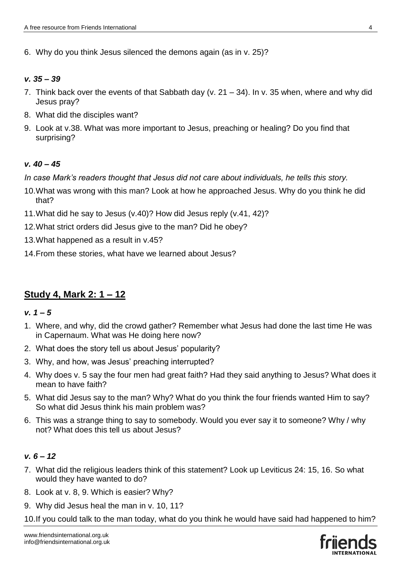6. Why do you think Jesus silenced the demons again (as in v. 25)?

#### *v. 35 – 39*

- 7. Think back over the events of that Sabbath day (v. 21 34). In v. 35 when, where and why did Jesus pray?
- 8. What did the disciples want?
- 9. Look at v.38. What was more important to Jesus, preaching or healing? Do you find that surprising?

## *v. 40 – 45*

*In case Mark's readers thought that Jesus did not care about individuals, he tells this story.*

- 10.What was wrong with this man? Look at how he approached Jesus. Why do you think he did that?
- 11.What did he say to Jesus (v.40)? How did Jesus reply (v.41, 42)?
- 12.What strict orders did Jesus give to the man? Did he obey?
- 13.What happened as a result in v.45?
- 14.From these stories, what have we learned about Jesus?

# **Study 4, Mark 2: 1** *–* **12**

## *v. 1 – 5*

- 1. Where, and why, did the crowd gather? Remember what Jesus had done the last time He was in Capernaum. What was He doing here now?
- 2. What does the story tell us about Jesus' popularity?
- 3. Why, and how, was Jesus' preaching interrupted?
- 4. Why does v. 5 say the four men had great faith? Had they said anything to Jesus? What does it mean to have faith?
- 5. What did Jesus say to the man? Why? What do you think the four friends wanted Him to say? So what did Jesus think his main problem was?
- 6. This was a strange thing to say to somebody. Would you ever say it to someone? Why / why not? What does this tell us about Jesus?

# *v. 6 – 12*

- 7. What did the religious leaders think of this statement? Look up Leviticus 24: 15, 16. So what would they have wanted to do?
- 8. Look at v. 8, 9. Which is easier? Why?
- 9. Why did Jesus heal the man in v. 10, 11?
- 10.If you could talk to the man today, what do you think he would have said had happened to him?

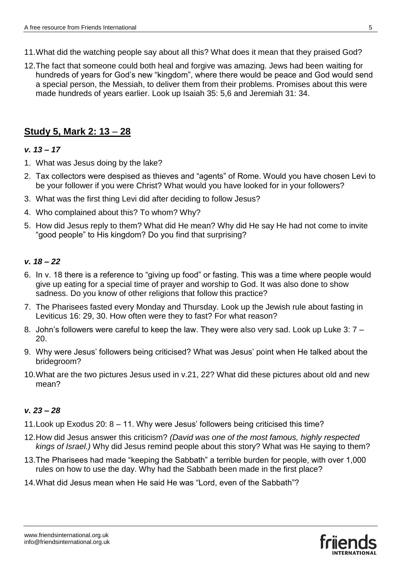- 11.What did the watching people say about all this? What does it mean that they praised God?
- 12.The fact that someone could both heal and forgive was amazing. Jews had been waiting for hundreds of years for God's new "kingdom", where there would be peace and God would send a special person, the Messiah, to deliver them from their problems. Promises about this were made hundreds of years earlier. Look up Isaiah 35: 5,6 and Jeremiah 31: 34.

# **Study 5, Mark 2: 13** *–* **28**

## *v. 13 – 17*

- 1. What was Jesus doing by the lake?
- 2. Tax collectors were despised as thieves and "agents" of Rome. Would you have chosen Levi to be your follower if you were Christ? What would you have looked for in your followers?
- 3. What was the first thing Levi did after deciding to follow Jesus?
- 4. Who complained about this? To whom? Why?
- 5. How did Jesus reply to them? What did He mean? Why did He say He had not come to invite "good people" to His kingdom? Do you find that surprising?

## *v. 18 – 22*

- 6. In v. 18 there is a reference to "giving up food" or fasting. This was a time where people would give up eating for a special time of prayer and worship to God. It was also done to show sadness. Do you know of other religions that follow this practice?
- 7. The Pharisees fasted every Monday and Thursday. Look up the Jewish rule about fasting in Leviticus 16: 29, 30. How often were they to fast? For what reason?
- 8. John's followers were careful to keep the law. They were also very sad. Look up Luke 3: 7 20.
- 9. Why were Jesus' followers being criticised? What was Jesus' point when He talked about the bridegroom?
- 10.What are the two pictures Jesus used in v.21, 22? What did these pictures about old and new mean?

# *v. 23 – 28*

- 11.Look up Exodus 20: 8 11. Why were Jesus' followers being criticised this time?
- 12.How did Jesus answer this criticism? *(David was one of the most famous, highly respected kings of Israel.)* Why did Jesus remind people about this story? What was He saying to them?
- 13.The Pharisees had made "keeping the Sabbath" a terrible burden for people, with over 1,000 rules on how to use the day. Why had the Sabbath been made in the first place?
- 14.What did Jesus mean when He said He was "Lord, even of the Sabbath"?

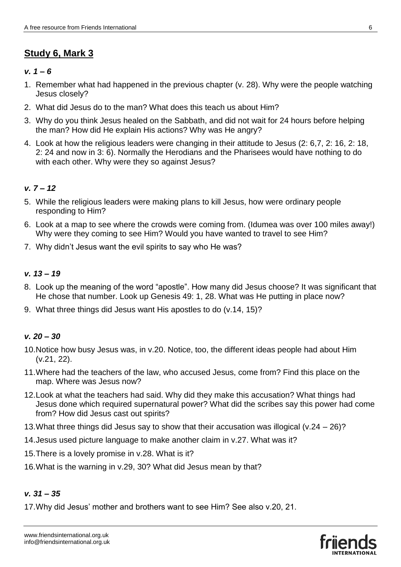# **Study 6, Mark 3**

## *v. 1 – 6*

- 1. Remember what had happened in the previous chapter (v. 28). Why were the people watching Jesus closely?
- 2. What did Jesus do to the man? What does this teach us about Him?
- 3. Why do you think Jesus healed on the Sabbath, and did not wait for 24 hours before helping the man? How did He explain His actions? Why was He angry?
- 4. Look at how the religious leaders were changing in their attitude to Jesus (2: 6,7, 2: 16, 2: 18, 2: 24 and now in 3: 6). Normally the Herodians and the Pharisees would have nothing to do with each other. Why were they so against Jesus?

## *v. 7 – 12*

- 5. While the religious leaders were making plans to kill Jesus, how were ordinary people responding to Him?
- 6. Look at a map to see where the crowds were coming from. (Idumea was over 100 miles away!) Why were they coming to see Him? Would you have wanted to travel to see Him?
- 7. Why didn't Jesus want the evil spirits to say who He was?

## *v. 13 – 19*

- 8. Look up the meaning of the word "apostle". How many did Jesus choose? It was significant that He chose that number. Look up Genesis 49: 1, 28. What was He putting in place now?
- 9. What three things did Jesus want His apostles to do (v.14, 15)?

# *v. 20 – 30*

- 10.Notice how busy Jesus was, in v.20. Notice, too, the different ideas people had about Him (v.21, 22).
- 11.Where had the teachers of the law, who accused Jesus, come from? Find this place on the map. Where was Jesus now?
- 12.Look at what the teachers had said. Why did they make this accusation? What things had Jesus done which required supernatural power? What did the scribes say this power had come from? How did Jesus cast out spirits?
- 13.What three things did Jesus say to show that their accusation was illogical (v.24 26)?
- 14.Jesus used picture language to make another claim in v.27. What was it?
- 15.There is a lovely promise in v.28. What is it?
- 16.What is the warning in v.29, 30? What did Jesus mean by that?

## *v. 31 – 35*

17.Why did Jesus' mother and brothers want to see Him? See also v.20, 21.

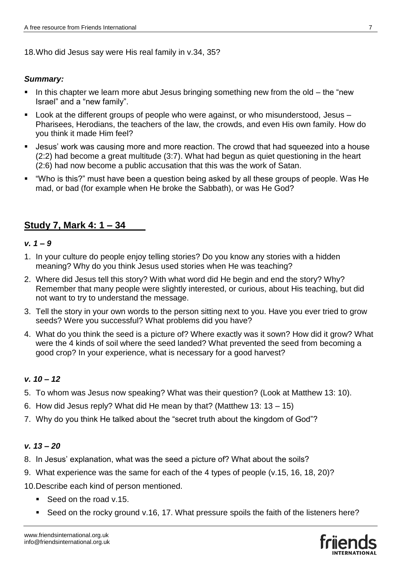18.Who did Jesus say were His real family in v.34, 35?

## *Summary:*

- In this chapter we learn more abut Jesus bringing something new from the old the "new Israel" and a "new family".
- Look at the different groups of people who were against, or who misunderstood, Jesus Pharisees, Herodians, the teachers of the law, the crowds, and even His own family. How do you think it made Him feel?
- Jesus' work was causing more and more reaction. The crowd that had squeezed into a house (2:2) had become a great multitude (3:7). What had begun as quiet questioning in the heart (2:6) had now become a public accusation that this was the work of Satan.
- "Who is this?" must have been a question being asked by all these groups of people. Was He mad, or bad (for example when He broke the Sabbath), or was He God?

# **Study 7, Mark 4: 1 – 34**

#### *v. 1 – 9*

- 1. In your culture do people enjoy telling stories? Do you know any stories with a hidden meaning? Why do you think Jesus used stories when He was teaching?
- 2. Where did Jesus tell this story? With what word did He begin and end the story? Why? Remember that many people were slightly interested, or curious, about His teaching, but did not want to try to understand the message.
- 3. Tell the story in your own words to the person sitting next to you. Have you ever tried to grow seeds? Were you successful? What problems did you have?
- 4. What do you think the seed is a picture of? Where exactly was it sown? How did it grow? What were the 4 kinds of soil where the seed landed? What prevented the seed from becoming a good crop? In your experience, what is necessary for a good harvest?

## *v. 10 – 12*

- 5. To whom was Jesus now speaking? What was their question? (Look at Matthew 13: 10).
- 6. How did Jesus reply? What did He mean by that? (Matthew 13: 13 15)
- 7. Why do you think He talked about the "secret truth about the kingdom of God"?

## *v. 13 – 20*

- 8. In Jesus' explanation, what was the seed a picture of? What about the soils?
- 9. What experience was the same for each of the 4 types of people (v.15, 16, 18, 20)?
- 10.Describe each kind of person mentioned.
	- Seed on the road v.15.
	- Seed on the rocky ground v.16, 17. What pressure spoils the faith of the listeners here?

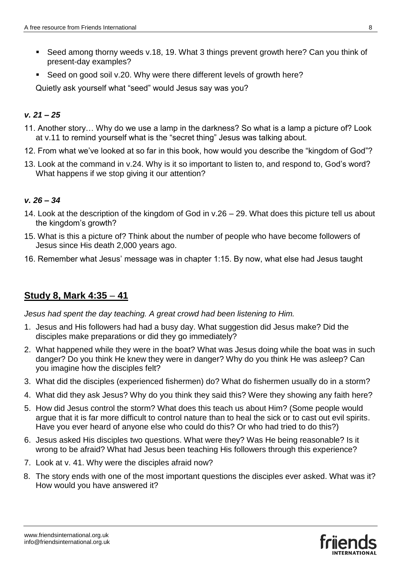- Seed among thorny weeds v.18, 19. What 3 things prevent growth here? Can you think of present-day examples?
- Seed on good soil v.20. Why were there different levels of growth here?

Quietly ask yourself what "seed" would Jesus say was you?

## *v. 21 – 25*

- 11. Another story… Why do we use a lamp in the darkness? So what is a lamp a picture of? Look at v.11 to remind yourself what is the "secret thing" Jesus was talking about.
- 12. From what we've looked at so far in this book, how would you describe the "kingdom of God"?
- 13. Look at the command in v.24. Why is it so important to listen to, and respond to, God's word? What happens if we stop giving it our attention?

## *v. 26 – 34*

- 14. Look at the description of the kingdom of God in v.26 29. What does this picture tell us about the kingdom's growth?
- 15. What is this a picture of? Think about the number of people who have become followers of Jesus since His death 2,000 years ago.
- 16. Remember what Jesus' message was in chapter 1:15. By now, what else had Jesus taught

# **Study 8, Mark 4:35** *–* **41**

*Jesus had spent the day teaching. A great crowd had been listening to Him.*

- 1. Jesus and His followers had had a busy day. What suggestion did Jesus make? Did the disciples make preparations or did they go immediately?
- 2. What happened while they were in the boat? What was Jesus doing while the boat was in such danger? Do you think He knew they were in danger? Why do you think He was asleep? Can you imagine how the disciples felt?
- 3. What did the disciples (experienced fishermen) do? What do fishermen usually do in a storm?
- 4. What did they ask Jesus? Why do you think they said this? Were they showing any faith here?
- 5. How did Jesus control the storm? What does this teach us about Him? (Some people would argue that it is far more difficult to control nature than to heal the sick or to cast out evil spirits. Have you ever heard of anyone else who could do this? Or who had tried to do this?)
- 6. Jesus asked His disciples two questions. What were they? Was He being reasonable? Is it wrong to be afraid? What had Jesus been teaching His followers through this experience?
- 7. Look at v. 41. Why were the disciples afraid now?
- 8. The story ends with one of the most important questions the disciples ever asked. What was it? How would you have answered it?

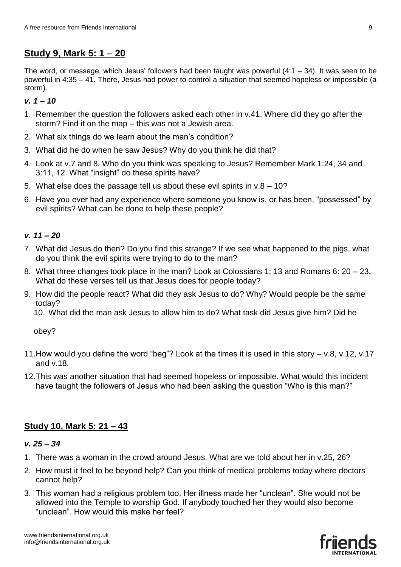# **Study 9, Mark 5: 1** *–* **20**

The word, or message, which Jesus' followers had been taught was powerful  $(4:1 - 34)$ . It was seen to be powerful in 4:35 – 41. There, Jesus had power to control a situation that seemed hopeless or impossible (a storm).

*v. 1 – 10*

- 1. Remember the question the followers asked each other in v.41. Where did they go after the storm? Find it on the map – this was not a Jewish area.
- 2. What six things do we learn about the man's condition?
- 3. What did he do when he saw Jesus? Why do you think he did that?
- 4. Look at v.7 and 8. Who do you think was speaking to Jesus? Remember Mark 1:24, 34 and 3:11, 12. What "insight" do these spirits have?
- 5. What else does the passage tell us about these evil spirits in v.8 10?
- 6. Have you ever had any experience where someone you know is, or has been, "possessed" by evil spirits? What can be done to help these people?

## *v. 11 – 20*

- 7. What did Jesus do then? Do you find this strange? If we see what happened to the pigs, what do you think the evil spirits were trying to do to the man?
- 8. What three changes took place in the man? Look at Colossians 1: 13 and Romans 6: 20 23. What do these verses tell us that Jesus does for people today?
- 9. How did the people react? What did they ask Jesus to do? Why? Would people be the same today?

10. What did the man ask Jesus to allow him to do? What task did Jesus give him? Did he

obey?

- 11.How would you define the word "beg"? Look at the times it is used in this story v.8, v.12, v.17 and v.18.
- 12.This was another situation that had seemed hopeless or impossible. What would this incident have taught the followers of Jesus who had been asking the question "Who is this man?"

# **Study 10, Mark 5: 21 – 43**

## *v. 25 – 34*

- 1. There was a woman in the crowd around Jesus. What are we told about her in v.25, 26?
- 2. How must it feel to be beyond help? Can you think of medical problems today where doctors cannot help?
- 3. This woman had a religious problem too. Her illness made her "unclean". She would not be allowed into the Temple to worship God. If anybody touched her they would also become "unclean". How would this make her feel?

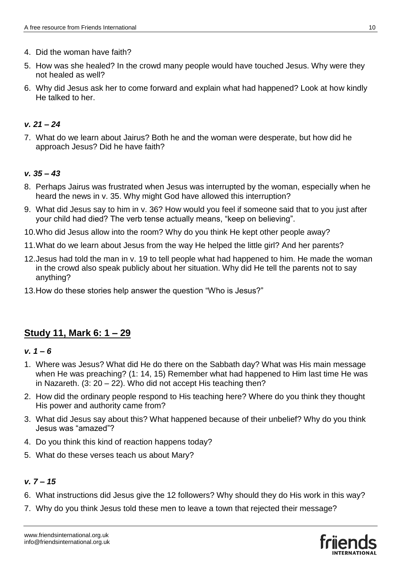- 4. Did the woman have faith?
- 5. How was she healed? In the crowd many people would have touched Jesus. Why were they not healed as well?
- 6. Why did Jesus ask her to come forward and explain what had happened? Look at how kindly He talked to her.

## *v. 21 – 24*

7. What do we learn about Jairus? Both he and the woman were desperate, but how did he approach Jesus? Did he have faith?

## *v. 35 – 43*

- 8. Perhaps Jairus was frustrated when Jesus was interrupted by the woman, especially when he heard the news in v. 35. Why might God have allowed this interruption?
- 9. What did Jesus say to him in v. 36? How would you feel if someone said that to you just after your child had died? The verb tense actually means, "keep on believing".
- 10.Who did Jesus allow into the room? Why do you think He kept other people away?
- 11.What do we learn about Jesus from the way He helped the little girl? And her parents?
- 12.Jesus had told the man in v. 19 to tell people what had happened to him. He made the woman in the crowd also speak publicly about her situation. Why did He tell the parents not to say anything?
- 13.How do these stories help answer the question "Who is Jesus?"

# **Study 11, Mark 6: 1 – 29**

#### *v. 1 – 6*

- 1. Where was Jesus? What did He do there on the Sabbath day? What was His main message when He was preaching? (1: 14, 15) Remember what had happened to Him last time He was in Nazareth. (3: 20 – 22). Who did not accept His teaching then?
- 2. How did the ordinary people respond to His teaching here? Where do you think they thought His power and authority came from?
- 3. What did Jesus say about this? What happened because of their unbelief? Why do you think Jesus was "amazed"?
- 4. Do you think this kind of reaction happens today?
- 5. What do these verses teach us about Mary?

## *v. 7 – 15*

- 6. What instructions did Jesus give the 12 followers? Why should they do His work in this way?
- 7. Why do you think Jesus told these men to leave a town that rejected their message?

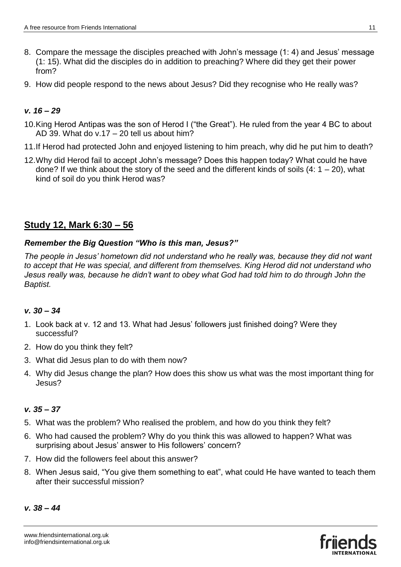- 8. Compare the message the disciples preached with John's message (1: 4) and Jesus' message (1: 15). What did the disciples do in addition to preaching? Where did they get their power from?
- 9. How did people respond to the news about Jesus? Did they recognise who He really was?

# *v. 16 – 29*

- 10.King Herod Antipas was the son of Herod I ("the Great"). He ruled from the year 4 BC to about AD 39. What do v.17 – 20 tell us about him?
- 11.If Herod had protected John and enjoyed listening to him preach, why did he put him to death?
- 12.Why did Herod fail to accept John's message? Does this happen today? What could he have done? If we think about the story of the seed and the different kinds of soils  $(4: 1 - 20)$ , what kind of soil do you think Herod was?

# **Study 12, Mark 6:30 – 56**

## *Remember the Big Question "Who is this man, Jesus?"*

*The people in Jesus' hometown did not understand who he really was, because they did not want to accept that He was special, and different from themselves. King Herod did not understand who Jesus really was, because he didn't want to obey what God had told him to do through John the Baptist.*

## *v. 30 – 34*

- 1. Look back at v. 12 and 13. What had Jesus' followers just finished doing? Were they successful?
- 2. How do you think they felt?
- 3. What did Jesus plan to do with them now?
- 4. Why did Jesus change the plan? How does this show us what was the most important thing for Jesus?

## *v. 35 – 37*

- 5. What was the problem? Who realised the problem, and how do you think they felt?
- 6. Who had caused the problem? Why do you think this was allowed to happen? What was surprising about Jesus' answer to His followers' concern?
- 7. How did the followers feel about this answer?
- 8. When Jesus said, "You give them something to eat", what could He have wanted to teach them after their successful mission?

#### *v. 38 – 44*

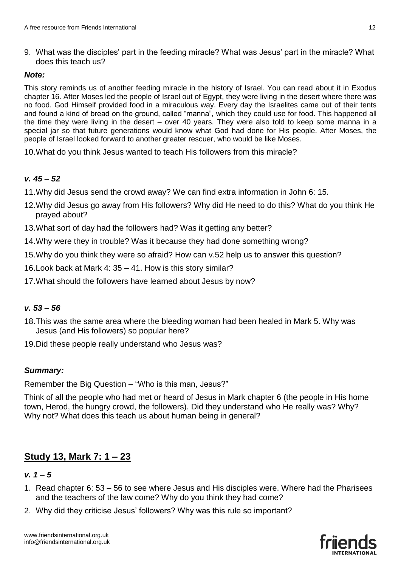9. What was the disciples' part in the feeding miracle? What was Jesus' part in the miracle? What does this teach us?

## *Note:*

This story reminds us of another feeding miracle in the history of Israel. You can read about it in Exodus chapter 16. After Moses led the people of Israel out of Egypt, they were living in the desert where there was no food. God Himself provided food in a miraculous way. Every day the Israelites came out of their tents and found a kind of bread on the ground, called "manna", which they could use for food. This happened all the time they were living in the desert – over 40 years. They were also told to keep some manna in a special jar so that future generations would know what God had done for His people. After Moses, the people of Israel looked forward to another greater rescuer, who would be like Moses.

10.What do you think Jesus wanted to teach His followers from this miracle?

## *v. 45 – 52*

- 11.Why did Jesus send the crowd away? We can find extra information in John 6: 15.
- 12.Why did Jesus go away from His followers? Why did He need to do this? What do you think He prayed about?
- 13.What sort of day had the followers had? Was it getting any better?
- 14.Why were they in trouble? Was it because they had done something wrong?
- 15.Why do you think they were so afraid? How can v.52 help us to answer this question?
- 16.Look back at Mark 4: 35 41. How is this story similar?
- 17.What should the followers have learned about Jesus by now?

## *v. 53 – 56*

- 18.This was the same area where the bleeding woman had been healed in Mark 5. Why was Jesus (and His followers) so popular here?
- 19.Did these people really understand who Jesus was?

## *Summary:*

Remember the Big Question – "Who is this man, Jesus?"

Think of all the people who had met or heard of Jesus in Mark chapter 6 (the people in His home town, Herod, the hungry crowd, the followers). Did they understand who He really was? Why? Why not? What does this teach us about human being in general?

# **Study 13, Mark 7: 1 – 23**

#### *v. 1 – 5*

- 1. Read chapter 6: 53 56 to see where Jesus and His disciples were. Where had the Pharisees and the teachers of the law come? Why do you think they had come?
- 2. Why did they criticise Jesus' followers? Why was this rule so important?

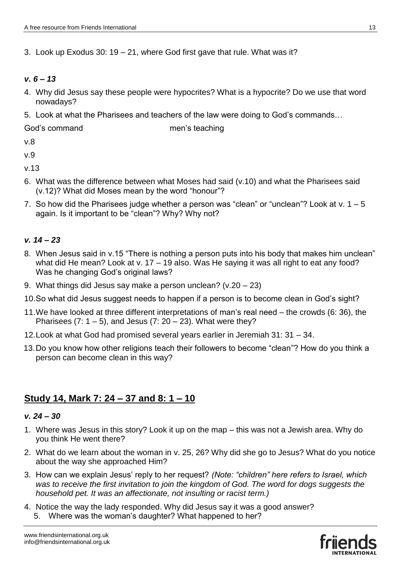3. Look up Exodus 30: 19 – 21, where God first gave that rule. What was it?

## *v. 6 – 13*

- 4. Why did Jesus say these people were hypocrites? What is a hypocrite? Do we use that word nowadays?
- 5. Look at what the Pharisees and teachers of the law were doing to God's commands…

God's command men's teaching

v.8

v.9

v.13

- 6. What was the difference between what Moses had said (v.10) and what the Pharisees said (v.12)? What did Moses mean by the word "honour"?
- 7. So how did the Pharisees judge whether a person was "clean" or "unclean"? Look at v.  $1 5$ again. Is it important to be "clean"? Why? Why not?

# *v. 14 – 23*

- 8. When Jesus said in v.15 "There is nothing a person puts into his body that makes him unclean" what did He mean? Look at v. 17 – 19 also. Was He saying it was all right to eat any food? Was he changing God's original laws?
- 9. What things did Jesus say make a person unclean? (v.20 23)
- 10.So what did Jesus suggest needs to happen if a person is to become clean in God's sight?
- 11.We have looked at three different interpretations of man's real need the crowds (6: 36), the Pharisees  $(7: 1 – 5)$ , and Jesus  $(7: 20 – 23)$ . What were they?
- 12.Look at what God had promised several years earlier in Jeremiah 31: 31 34.
- 13.Do you know how other religions teach their followers to become "clean"? How do you think a person can become clean in this way?

# **Study 14, Mark 7: 24 – 37 and 8: 1 – 10**

## *v. 24 – 30*

- 1. Where was Jesus in this story? Look it up on the map this was not a Jewish area. Why do you think He went there?
- 2. What do we learn about the woman in v. 25, 26? Why did she go to Jesus? What do you notice about the way she approached Him?
- 3. How can we explain Jesus' reply to her request? *(Note: "children" here refers to Israel, which was to receive the first invitation to join the kingdom of God. The word for dogs suggests the household pet. It was an affectionate, not insulting or racist term.)*
- 4. Notice the way the lady responded. Why did Jesus say it was a good answer? 5. Where was the woman's daughter? What happened to her?

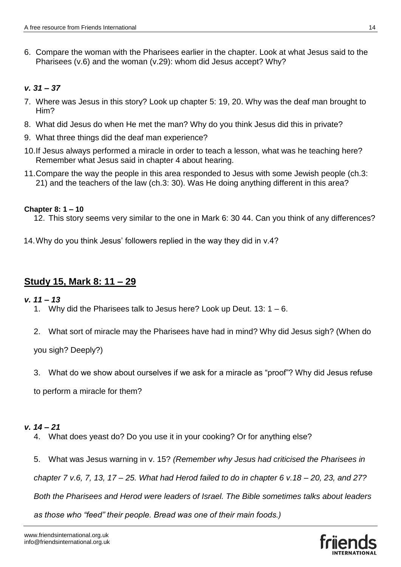6. Compare the woman with the Pharisees earlier in the chapter. Look at what Jesus said to the Pharisees (v.6) and the woman (v.29): whom did Jesus accept? Why?

## *v. 31 – 37*

- 7. Where was Jesus in this story? Look up chapter 5: 19, 20. Why was the deaf man brought to Him?
- 8. What did Jesus do when He met the man? Why do you think Jesus did this in private?
- 9. What three things did the deaf man experience?
- 10.If Jesus always performed a miracle in order to teach a lesson, what was he teaching here? Remember what Jesus said in chapter 4 about hearing.
- 11.Compare the way the people in this area responded to Jesus with some Jewish people (ch.3: 21) and the teachers of the law (ch.3: 30). Was He doing anything different in this area?

## **Chapter 8: 1 – 10**

12. This story seems very similar to the one in Mark 6: 30 44. Can you think of any differences?

14.Why do you think Jesus' followers replied in the way they did in v.4?

# **Study 15, Mark 8: 11 – 29**

- *v. 11 – 13*
	- 1. Why did the Pharisees talk to Jesus here? Look up Deut. 13: 1 6.
	- 2. What sort of miracle may the Pharisees have had in mind? Why did Jesus sigh? (When do

you sigh? Deeply?)

3. What do we show about ourselves if we ask for a miracle as "proof"? Why did Jesus refuse

to perform a miracle for them?

## *v. 14 – 21*

- 4. What does yeast do? Do you use it in your cooking? Or for anything else?
- 5. What was Jesus warning in v. 15? *(Remember why Jesus had criticised the Pharisees in*
- *chapter 7 v.6, 7, 13, 17 – 25. What had Herod failed to do in chapter 6 v.18 – 20, 23, and 27?*

*Both the Pharisees and Herod were leaders of Israel. The Bible sometimes talks about leaders* 

*as those who "feed" their people. Bread was one of their main foods.)*

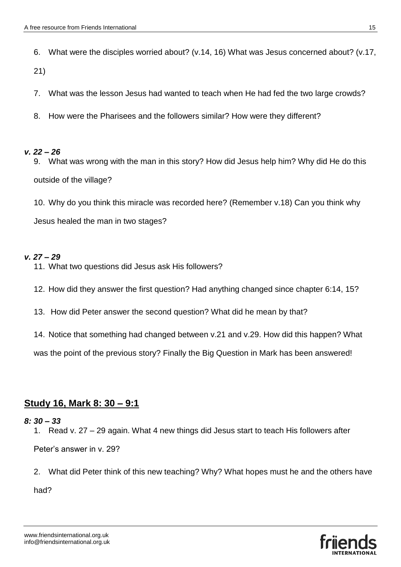6. What were the disciples worried about? (v.14, 16) What was Jesus concerned about? (v.17,

21)

- 7. What was the lesson Jesus had wanted to teach when He had fed the two large crowds?
- 8. How were the Pharisees and the followers similar? How were they different?

#### *v. 22 – 26*

9. What was wrong with the man in this story? How did Jesus help him? Why did He do this outside of the village?

10. Why do you think this miracle was recorded here? (Remember v.18) Can you think why Jesus healed the man in two stages?

## *v. 27 – 29*

- 11. What two questions did Jesus ask His followers?
- 12. How did they answer the first question? Had anything changed since chapter 6:14, 15?
- 13. How did Peter answer the second question? What did he mean by that?
- 14. Notice that something had changed between v.21 and v.29. How did this happen? What

was the point of the previous story? Finally the Big Question in Mark has been answered!

# **Study 16, Mark 8: 30 – 9:1**

## *8: 30 – 33*

1. Read v. 27 – 29 again. What 4 new things did Jesus start to teach His followers after

Peter's answer in v. 29?



<sup>2.</sup> What did Peter think of this new teaching? Why? What hopes must he and the others have had?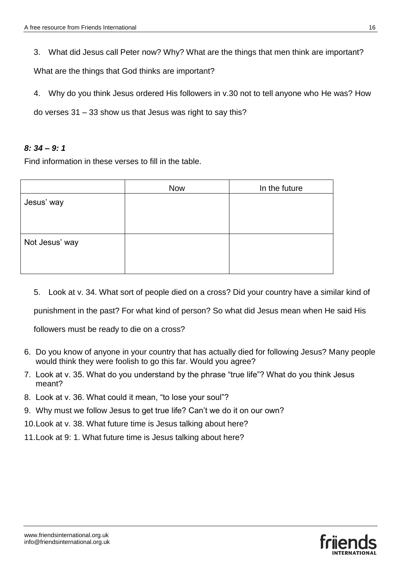3. What did Jesus call Peter now? Why? What are the things that men think are important?

What are the things that God thinks are important?

4. Why do you think Jesus ordered His followers in v.30 not to tell anyone who He was? How

do verses 31 – 33 show us that Jesus was right to say this?

## *8: 34 – 9: 1*

Find information in these verses to fill in the table.

|                | <b>Now</b> | In the future |
|----------------|------------|---------------|
| Jesus' way     |            |               |
|                |            |               |
|                |            |               |
| Not Jesus' way |            |               |
|                |            |               |
|                |            |               |

5. Look at v. 34. What sort of people died on a cross? Did your country have a similar kind of

punishment in the past? For what kind of person? So what did Jesus mean when He said His

followers must be ready to die on a cross?

- 6. Do you know of anyone in your country that has actually died for following Jesus? Many people would think they were foolish to go this far. Would you agree?
- 7. Look at v. 35. What do you understand by the phrase "true life"? What do you think Jesus meant?
- 8. Look at v. 36. What could it mean, "to lose your soul"?
- 9. Why must we follow Jesus to get true life? Can't we do it on our own?
- 10.Look at v. 38. What future time is Jesus talking about here?
- 11.Look at 9: 1. What future time is Jesus talking about here?

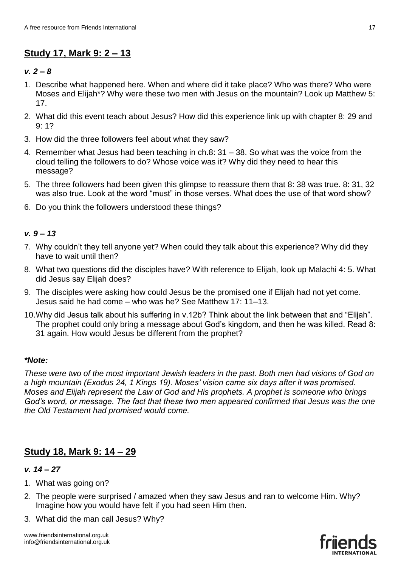# **Study 17, Mark 9: 2 – 13**

## *v. 2 – 8*

- 1. Describe what happened here. When and where did it take place? Who was there? Who were Moses and Elijah\*? Why were these two men with Jesus on the mountain? Look up Matthew 5: 17.
- 2. What did this event teach about Jesus? How did this experience link up with chapter 8: 29 and 9: 1?
- 3. How did the three followers feel about what they saw?
- 4. Remember what Jesus had been teaching in ch.8: 31 38. So what was the voice from the cloud telling the followers to do? Whose voice was it? Why did they need to hear this message?
- 5. The three followers had been given this glimpse to reassure them that 8: 38 was true. 8: 31, 32 was also true. Look at the word "must" in those verses. What does the use of that word show?
- 6. Do you think the followers understood these things?

## *v. 9 – 13*

- 7. Why couldn't they tell anyone yet? When could they talk about this experience? Why did they have to wait until then?
- 8. What two questions did the disciples have? With reference to Elijah, look up Malachi 4: 5. What did Jesus say Elijah does?
- 9. The disciples were asking how could Jesus be the promised one if Elijah had not yet come. Jesus said he had come – who was he? See Matthew 17: 11–13.
- 10.Why did Jesus talk about his suffering in v.12b? Think about the link between that and "Elijah". The prophet could only bring a message about God's kingdom, and then he was killed. Read 8: 31 again. How would Jesus be different from the prophet?

## *\*Note:*

*These were two of the most important Jewish leaders in the past. Both men had visions of God on a high mountain (Exodus 24, 1 Kings 19). Moses' vision came six days after it was promised. Moses and Elijah represent the Law of God and His prophets. A prophet is someone who brings God's word, or message. The fact that these two men appeared confirmed that Jesus was the one the Old Testament had promised would come.*

# **Study 18, Mark 9: 14 – 29**

# *v. 14 – 27*

- 1. What was going on?
- 2. The people were surprised / amazed when they saw Jesus and ran to welcome Him. Why? Imagine how you would have felt if you had seen Him then.
- 3. What did the man call Jesus? Why?

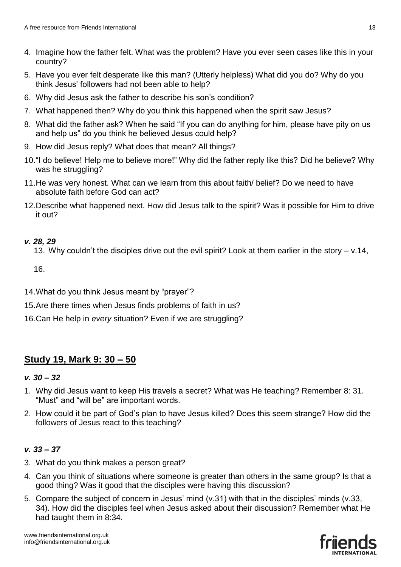- 4. Imagine how the father felt. What was the problem? Have you ever seen cases like this in your country?
- 5. Have you ever felt desperate like this man? (Utterly helpless) What did you do? Why do you think Jesus' followers had not been able to help?
- 6. Why did Jesus ask the father to describe his son's condition?
- 7. What happened then? Why do you think this happened when the spirit saw Jesus?
- 8. What did the father ask? When he said "If you can do anything for him, please have pity on us and help us" do you think he believed Jesus could help?
- 9. How did Jesus reply? What does that mean? All things?
- 10."I do believe! Help me to believe more!" Why did the father reply like this? Did he believe? Why was he struggling?
- 11.He was very honest. What can we learn from this about faith/ belief? Do we need to have absolute faith before God can act?
- 12.Describe what happened next. How did Jesus talk to the spirit? Was it possible for Him to drive it out?

## *v. 28, 29*

13. Why couldn't the disciples drive out the evil spirit? Look at them earlier in the story – v.14,

16.

- 14.What do you think Jesus meant by "prayer"?
- 15.Are there times when Jesus finds problems of faith in us?
- 16.Can He help in *every* situation? Even if we are struggling?

# **Study 19, Mark 9: 30 – 50**

## *v. 30 – 32*

- 1. Why did Jesus want to keep His travels a secret? What was He teaching? Remember 8: 31. "Must" and "will be" are important words.
- 2. How could it be part of God's plan to have Jesus killed? Does this seem strange? How did the followers of Jesus react to this teaching?

## *v. 33 – 37*

- 3. What do you think makes a person great?
- 4. Can you think of situations where someone is greater than others in the same group? Is that a good thing? Was it good that the disciples were having this discussion?
- 5. Compare the subject of concern in Jesus' mind (v.31) with that in the disciples' minds (v.33, 34). How did the disciples feel when Jesus asked about their discussion? Remember what He had taught them in 8:34.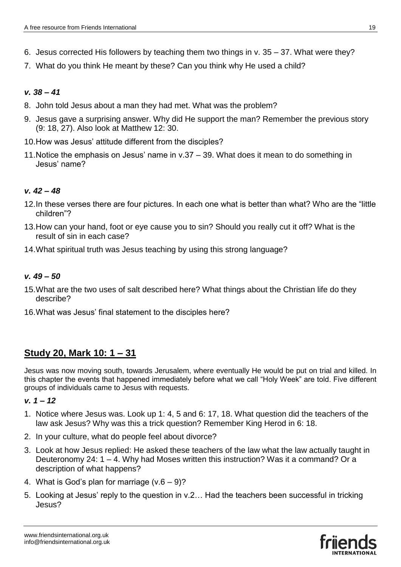- 6. Jesus corrected His followers by teaching them two things in v. 35 37. What were they?
- 7. What do you think He meant by these? Can you think why He used a child?

## *v. 38 – 41*

- 8. John told Jesus about a man they had met. What was the problem?
- 9. Jesus gave a surprising answer. Why did He support the man? Remember the previous story (9: 18, 27). Also look at Matthew 12: 30.
- 10.How was Jesus' attitude different from the disciples?
- 11.Notice the emphasis on Jesus' name in v.37 39. What does it mean to do something in Jesus' name?

## *v. 42 – 48*

- 12.In these verses there are four pictures. In each one what is better than what? Who are the "little children"?
- 13.How can your hand, foot or eye cause you to sin? Should you really cut it off? What is the result of sin in each case?
- 14.What spiritual truth was Jesus teaching by using this strong language?

# *v. 49 – 50*

- 15.What are the two uses of salt described here? What things about the Christian life do they describe?
- 16.What was Jesus' final statement to the disciples here?

# **Study 20, Mark 10: 1 – 31**

Jesus was now moving south, towards Jerusalem, where eventually He would be put on trial and killed. In this chapter the events that happened immediately before what we call "Holy Week" are told. Five different groups of individuals came to Jesus with requests.

#### *v. 1 – 12*

- 1. Notice where Jesus was. Look up 1: 4, 5 and 6: 17, 18. What question did the teachers of the law ask Jesus? Why was this a trick question? Remember King Herod in 6: 18.
- 2. In your culture, what do people feel about divorce?
- 3. Look at how Jesus replied: He asked these teachers of the law what the law actually taught in Deuteronomy 24: 1 – 4. Why had Moses written this instruction? Was it a command? Or a description of what happens?
- 4. What is God's plan for marriage  $(v.6 9)$ ?
- 5. Looking at Jesus' reply to the question in v.2… Had the teachers been successful in tricking Jesus?

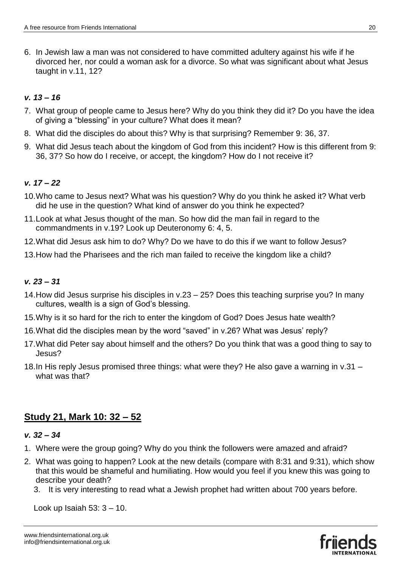6. In Jewish law a man was not considered to have committed adultery against his wife if he divorced her, nor could a woman ask for a divorce. So what was significant about what Jesus taught in v.11, 12?

# *v. 13 – 16*

- 7. What group of people came to Jesus here? Why do you think they did it? Do you have the idea of giving a "blessing" in your culture? What does it mean?
- 8. What did the disciples do about this? Why is that surprising? Remember 9: 36, 37.
- 9. What did Jesus teach about the kingdom of God from this incident? How is this different from 9: 36, 37? So how do I receive, or accept, the kingdom? How do I not receive it?

# *v. 17 – 22*

- 10.Who came to Jesus next? What was his question? Why do you think he asked it? What verb did he use in the question? What kind of answer do you think he expected?
- 11.Look at what Jesus thought of the man. So how did the man fail in regard to the commandments in v.19? Look up Deuteronomy 6: 4, 5.
- 12.What did Jesus ask him to do? Why? Do we have to do this if we want to follow Jesus?
- 13.How had the Pharisees and the rich man failed to receive the kingdom like a child?

# *v. 23 – 31*

- 14.How did Jesus surprise his disciples in v.23 25? Does this teaching surprise you? In many cultures, wealth is a sign of God's blessing.
- 15.Why is it so hard for the rich to enter the kingdom of God? Does Jesus hate wealth?
- 16.What did the disciples mean by the word "saved" in v.26? What was Jesus' reply?
- 17.What did Peter say about himself and the others? Do you think that was a good thing to say to Jesus?
- 18.In His reply Jesus promised three things: what were they? He also gave a warning in v.31 what was that?

# **Study 21, Mark 10: 32 – 52**

## *v. 32 – 34*

- 1. Where were the group going? Why do you think the followers were amazed and afraid?
- 2. What was going to happen? Look at the new details (compare with 8:31 and 9:31), which show that this would be shameful and humiliating. How would you feel if you knew this was going to describe your death?
	- 3. It is very interesting to read what a Jewish prophet had written about 700 years before.

Look up Isaiah 53: 3 – 10.

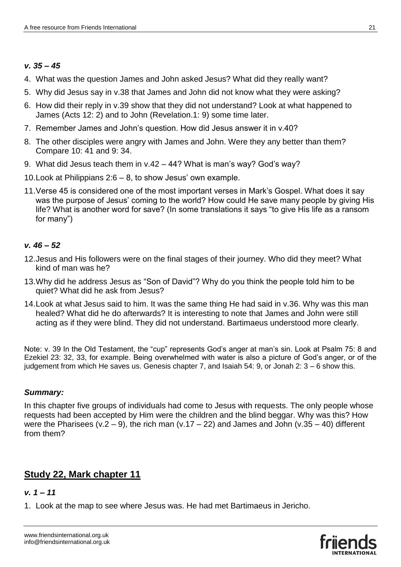## *v. 35 – 45*

- 4. What was the question James and John asked Jesus? What did they really want?
- 5. Why did Jesus say in v.38 that James and John did not know what they were asking?
- 6. How did their reply in v.39 show that they did not understand? Look at what happened to James (Acts 12: 2) and to John (Revelation.1: 9) some time later.
- 7. Remember James and John's question. How did Jesus answer it in v.40?
- 8. The other disciples were angry with James and John. Were they any better than them? Compare 10: 41 and 9: 34.
- 9. What did Jesus teach them in v.42 44? What is man's way? God's way?
- 10.Look at Philippians 2:6 8, to show Jesus' own example.
- 11.Verse 45 is considered one of the most important verses in Mark's Gospel. What does it say was the purpose of Jesus' coming to the world? How could He save many people by giving His life? What is another word for save? (In some translations it says "to give His life as a ransom for many")

# *v. 46 – 52*

- 12.Jesus and His followers were on the final stages of their journey. Who did they meet? What kind of man was he?
- 13.Why did he address Jesus as "Son of David"? Why do you think the people told him to be quiet? What did he ask from Jesus?
- 14.Look at what Jesus said to him. It was the same thing He had said in v.36. Why was this man healed? What did he do afterwards? It is interesting to note that James and John were still acting as if they were blind. They did not understand. Bartimaeus understood more clearly.

Note: v. 39 In the Old Testament, the "cup" represents God's anger at man's sin. Look at Psalm 75: 8 and Ezekiel 23: 32, 33, for example. Being overwhelmed with water is also a picture of God's anger, or of the judgement from which He saves us. Genesis chapter 7, and Isaiah 54: 9, or Jonah 2: 3 – 6 show this.

# *Summary:*

In this chapter five groups of individuals had come to Jesus with requests. The only people whose requests had been accepted by Him were the children and the blind beggar. Why was this? How were the Pharisees ( $v.2 - 9$ ), the rich man ( $v.17 - 22$ ) and James and John ( $v.35 - 40$ ) different from them?

# **Study 22, Mark chapter 11**

## *v. 1 – 11*

1. Look at the map to see where Jesus was. He had met Bartimaeus in Jericho.

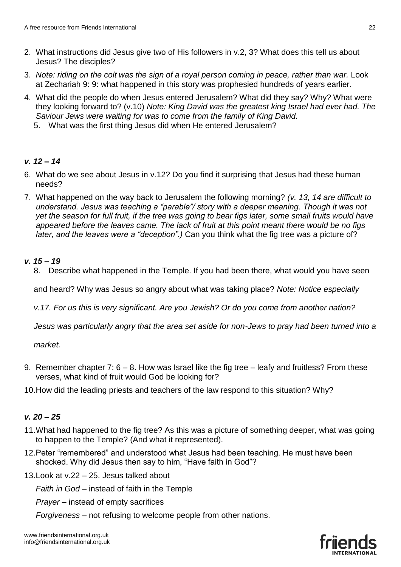- 2. What instructions did Jesus give two of His followers in v.2, 3? What does this tell us about Jesus? The disciples?
- 3. *Note: riding on the colt was the sign of a royal person coming in peace, rather than war.* Look at Zechariah 9: 9: what happened in this story was prophesied hundreds of years earlier.
- 4. What did the people do when Jesus entered Jerusalem? What did they say? Why? What were they looking forward to? (v.10) *Note: King David was the greatest king Israel had ever had. The Saviour Jews were waiting for was to come from the family of King David.*
	- 5. What was the first thing Jesus did when He entered Jerusalem?

## *v. 12 – 14*

- 6. What do we see about Jesus in v.12? Do you find it surprising that Jesus had these human needs?
- 7. What happened on the way back to Jerusalem the following morning? *(v. 13, 14 are difficult to understand. Jesus was teaching a "parable"/ story with a deeper meaning. Though it was not yet the season for full fruit, if the tree was going to bear figs later, some small fruits would have appeared before the leaves came. The lack of fruit at this point meant there would be no figs later, and the leaves were a "deception".)* Can you think what the fig tree was a picture of?

## *v. 15 – 19*

8. Describe what happened in the Temple. If you had been there, what would you have seen

and heard? Why was Jesus so angry about what was taking place? *Note: Notice especially* 

*v.17. For us this is very significant. Are you Jewish? Or do you come from another nation?* 

*Jesus was particularly angry that the area set aside for non-Jews to pray had been turned into a* 

*market.*

- 9. Remember chapter 7: 6 8. How was Israel like the fig tree leafy and fruitless? From these verses, what kind of fruit would God be looking for?
- 10.How did the leading priests and teachers of the law respond to this situation? Why?

# *v. 20 – 25*

- 11.What had happened to the fig tree? As this was a picture of something deeper, what was going to happen to the Temple? (And what it represented).
- 12.Peter "remembered" and understood what Jesus had been teaching. He must have been shocked. Why did Jesus then say to him, "Have faith in God"?
- 13.Look at v.22 25. Jesus talked about

*Faith in God* – instead of faith in the Temple

*Prayer* – instead of empty sacrifices

*Forgiveness* – not refusing to welcome people from other nations.

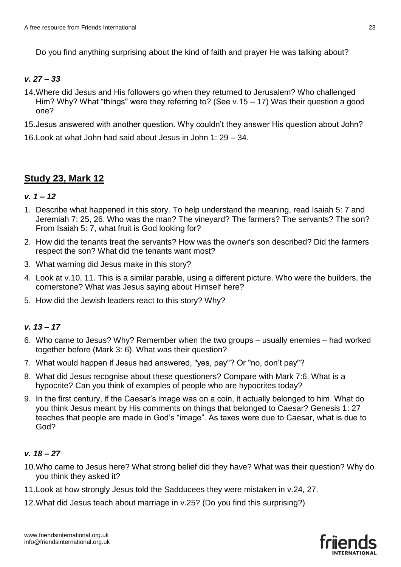Do you find anything surprising about the kind of faith and prayer He was talking about?

# *v. 27 – 33*

- 14.Where did Jesus and His followers go when they returned to Jerusalem? Who challenged Him? Why? What "things" were they referring to? (See v.15 – 17) Was their question a good one?
- 15.Jesus answered with another question. Why couldn't they answer His question about John?
- 16.Look at what John had said about Jesus in John 1: 29 34.

# **Study 23, Mark 12**

## *v. 1 – 12*

- 1. Describe what happened in this story. To help understand the meaning, read Isaiah 5: 7 and Jeremiah 7: 25, 26. Who was the man? The vineyard? The farmers? The servants? The son? From Isaiah 5: 7, what fruit is God looking for?
- 2. How did the tenants treat the servants? How was the owner's son described? Did the farmers respect the son? What did the tenants want most?
- 3. What warning did Jesus make in this story?
- 4. Look at v.10, 11. This is a similar parable, using a different picture. Who were the builders, the cornerstone? What was Jesus saying about Himself here?
- 5. How did the Jewish leaders react to this story? Why?

# *v. 13 – 17*

- 6. Who came to Jesus? Why? Remember when the two groups usually enemies had worked together before (Mark 3: 6). What was their question?
- 7. What would happen if Jesus had answered, "yes, pay"? Or "no, don't pay"?
- 8. What did Jesus recognise about these questioners? Compare with Mark 7:6. What is a hypocrite? Can you think of examples of people who are hypocrites today?
- 9. In the first century, if the Caesar's image was on a coin, it actually belonged to him. What do you think Jesus meant by His comments on things that belonged to Caesar? Genesis 1: 27 teaches that people are made in God's "image". As taxes were due to Caesar, what is due to God?

# *v. 18 – 27*

- 10.Who came to Jesus here? What strong belief did they have? What was their question? Why do you think they asked it?
- 11.Look at how strongly Jesus told the Sadducees they were mistaken in v.24, 27.
- 12.What did Jesus teach about marriage in v.25? (Do you find this surprising?)

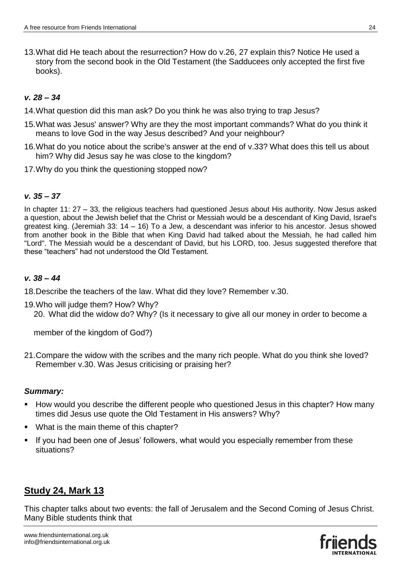13.What did He teach about the resurrection? How do v.26, 27 explain this? Notice He used a story from the second book in the Old Testament (the Sadducees only accepted the first five books).

# *v. 28 – 34*

- 14.What question did this man ask? Do you think he was also trying to trap Jesus?
- 15.What was Jesus' answer? Why are they the most important commands? What do you think it means to love God in the way Jesus described? And your neighbour?
- 16.What do you notice about the scribe's answer at the end of v.33? What does this tell us about him? Why did Jesus say he was close to the kingdom?
- 17.Why do you think the questioning stopped now?

## *v. 35 – 37*

In chapter 11: 27 – 33, the religious teachers had questioned Jesus about His authority. Now Jesus asked a question, about the Jewish belief that the Christ or Messiah would be a descendant of King David, Israel's greatest king. (Jeremiah 33: 14 – 16) To a Jew, a descendant was inferior to his ancestor. Jesus showed from another book in the Bible that when King David had talked about the Messiah, he had called him "Lord". The Messiah would be a descendant of David, but his LORD, too. Jesus suggested therefore that these "teachers" had not understood the Old Testament.

## *v. 38 – 44*

- 18.Describe the teachers of the law. What did they love? Remember v.30.
- 19.Who will judge them? How? Why? 20. What did the widow do? Why? (Is it necessary to give all our money in order to become a

member of the kingdom of God?)

21.Compare the widow with the scribes and the many rich people. What do you think she loved? Remember v.30. Was Jesus criticising or praising her?

## *Summary:*

- How would you describe the different people who questioned Jesus in this chapter? How many times did Jesus use quote the Old Testament in His answers? Why?
- What is the main theme of this chapter?
- If you had been one of Jesus' followers, what would you especially remember from these situations?

# **Study 24, Mark 13**

This chapter talks about two events: the fall of Jerusalem and the Second Coming of Jesus Christ. Many Bible students think that

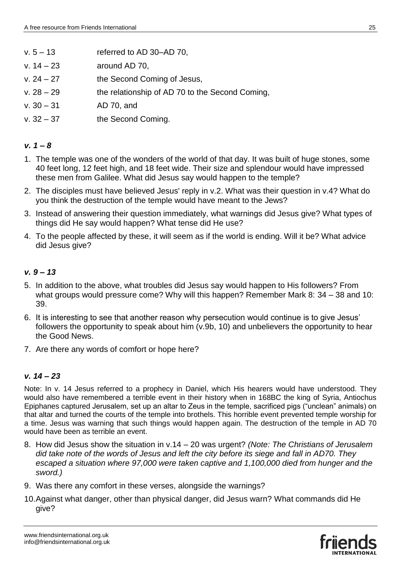- v.  $5 13$  referred to AD 30-AD 70,
- v. 14 23 around AD 70,
- v. 24 27 the Second Coming of Jesus,
- v. 28 29 the relationship of AD 70 to the Second Coming,
- v. 30 31 AD 70, and
- v. 32 37 the Second Coming.

# *v. 1 – 8*

- 1. The temple was one of the wonders of the world of that day. It was built of huge stones, some 40 feet long, 12 feet high, and 18 feet wide. Their size and splendour would have impressed these men from Galilee. What did Jesus say would happen to the temple?
- 2. The disciples must have believed Jesus' reply in v.2. What was their question in v.4? What do you think the destruction of the temple would have meant to the Jews?
- 3. Instead of answering their question immediately, what warnings did Jesus give? What types of things did He say would happen? What tense did He use?
- 4. To the people affected by these, it will seem as if the world is ending. Will it be? What advice did Jesus give?

## *v. 9 – 13*

- 5. In addition to the above, what troubles did Jesus say would happen to His followers? From what groups would pressure come? Why will this happen? Remember Mark 8: 34 – 38 and 10: 39.
- 6. It is interesting to see that another reason why persecution would continue is to give Jesus' followers the opportunity to speak about him (v.9b, 10) and unbelievers the opportunity to hear the Good News.
- 7. Are there any words of comfort or hope here?

# *v. 14 – 23*

Note: In v. 14 Jesus referred to a prophecy in Daniel, which His hearers would have understood. They would also have remembered a terrible event in their history when in 168BC the king of Syria, Antiochus Epiphanes captured Jerusalem, set up an altar to Zeus in the temple, sacrificed pigs ("unclean" animals) on that altar and turned the courts of the temple into brothels. This horrible event prevented temple worship for a time. Jesus was warning that such things would happen again. The destruction of the temple in AD 70 would have been as terrible an event.

- 8. How did Jesus show the situation in v.14 20 was urgent? *(Note: The Christians of Jerusalem did take note of the words of Jesus and left the city before its siege and fall in AD70. They escaped a situation where 97,000 were taken captive and 1,100,000 died from hunger and the sword.)*
- 9. Was there any comfort in these verses, alongside the warnings?
- 10.Against what danger, other than physical danger, did Jesus warn? What commands did He give?

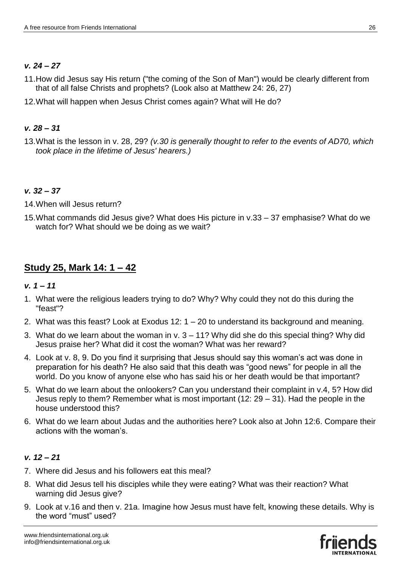# *v. 24 – 27*

- 11.How did Jesus say His return ("the coming of the Son of Man") would be clearly different from that of all false Christs and prophets? (Look also at Matthew 24: 26, 27)
- 12.What will happen when Jesus Christ comes again? What will He do?

# *v. 28 – 31*

13.What is the lesson in v. 28, 29? *(v.30 is generally thought to refer to the events of AD70, which took place in the lifetime of Jesus' hearers.)*

# *v. 32 – 37*

- 14.When will Jesus return?
- 15.What commands did Jesus give? What does His picture in v.33 37 emphasise? What do we watch for? What should we be doing as we wait?

# **Study 25, Mark 14: 1 – 42**

## *v. 1 – 11*

- 1. What were the religious leaders trying to do? Why? Why could they not do this during the "feast"?
- 2. What was this feast? Look at Exodus 12: 1 20 to understand its background and meaning.
- 3. What do we learn about the woman in v. 3 11? Why did she do this special thing? Why did Jesus praise her? What did it cost the woman? What was her reward?
- 4. Look at v. 8, 9. Do you find it surprising that Jesus should say this woman's act was done in preparation for his death? He also said that this death was "good news" for people in all the world. Do you know of anyone else who has said his or her death would be that important?
- 5. What do we learn about the onlookers? Can you understand their complaint in v.4, 5? How did Jesus reply to them? Remember what is most important (12: 29 – 31). Had the people in the house understood this?
- 6. What do we learn about Judas and the authorities here? Look also at John 12:6. Compare their actions with the woman's.

# *v. 12 – 21*

- 7. Where did Jesus and his followers eat this meal?
- 8. What did Jesus tell his disciples while they were eating? What was their reaction? What warning did Jesus give?
- 9. Look at v.16 and then v. 21a. Imagine how Jesus must have felt, knowing these details. Why is the word "must" used?

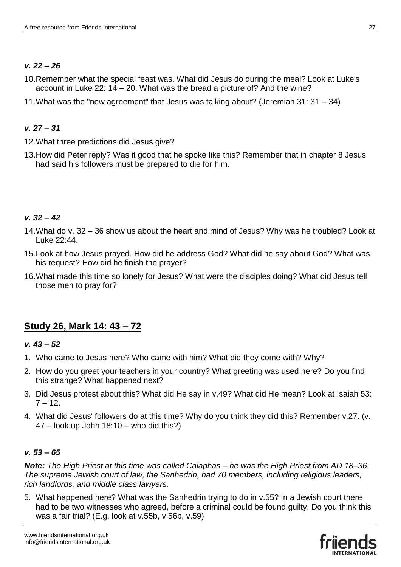# *v. 22 – 26*

- 10.Remember what the special feast was. What did Jesus do during the meal? Look at Luke's account in Luke 22: 14 – 20. What was the bread a picture of? And the wine?
- 11.What was the "new agreement" that Jesus was talking about? (Jeremiah 31: 31 34)

# *v. 27 – 31*

- 12.What three predictions did Jesus give?
- 13.How did Peter reply? Was it good that he spoke like this? Remember that in chapter 8 Jesus had said his followers must be prepared to die for him.

# *v. 32 – 42*

- 14.What do v. 32 36 show us about the heart and mind of Jesus? Why was he troubled? Look at Luke 22:44.
- 15.Look at how Jesus prayed. How did he address God? What did he say about God? What was his request? How did he finish the prayer?
- 16.What made this time so lonely for Jesus? What were the disciples doing? What did Jesus tell those men to pray for?

# **Study 26, Mark 14: 43 – 72**

# *v. 43 – 52*

- 1. Who came to Jesus here? Who came with him? What did they come with? Why?
- 2. How do you greet your teachers in your country? What greeting was used here? Do you find this strange? What happened next?
- 3. Did Jesus protest about this? What did He say in v.49? What did He mean? Look at Isaiah 53:  $7 - 12.$
- 4. What did Jesus' followers do at this time? Why do you think they did this? Remember v.27. (v. 47 – look up John 18:10 – who did this?)

# *v. 53 – 65*

*Note: The High Priest at this time was called Caiaphas – he was the High Priest from AD 18–36. The supreme Jewish court of law, the Sanhedrin, had 70 members, including religious leaders, rich landlords, and middle class lawyers.*

5. What happened here? What was the Sanhedrin trying to do in v.55? In a Jewish court there had to be two witnesses who agreed, before a criminal could be found guilty. Do you think this was a fair trial? (E.g. look at v.55b, v.56b, v.59)

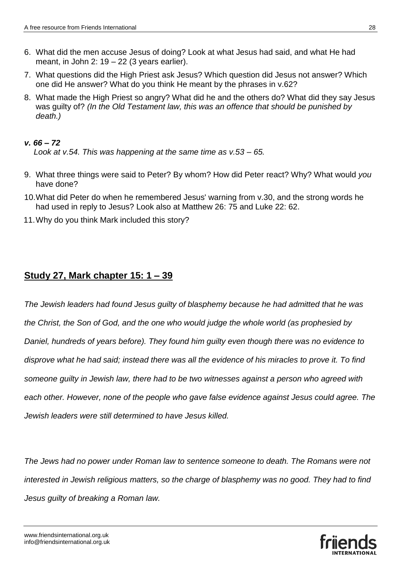- 6. What did the men accuse Jesus of doing? Look at what Jesus had said, and what He had meant, in John 2:  $19 - 22$  (3 years earlier).
- 7. What questions did the High Priest ask Jesus? Which question did Jesus not answer? Which one did He answer? What do you think He meant by the phrases in v.62?
- 8. What made the High Priest so angry? What did he and the others do? What did they say Jesus was guilty of? *(In the Old Testament law, this was an offence that should be punished by death.)*

## *v. 66 – 72*

*Look at v.54. This was happening at the same time as v.53 – 65.*

- 9. What three things were said to Peter? By whom? How did Peter react? Why? What would *you* have done?
- 10.What did Peter do when he remembered Jesus' warning from v.30, and the strong words he had used in reply to Jesus? Look also at Matthew 26: 75 and Luke 22: 62.
- 11.Why do you think Mark included this story?

# **Study 27, Mark chapter 15: 1 – 39**

*The Jewish leaders had found Jesus guilty of blasphemy because he had admitted that he was the Christ, the Son of God, and the one who would judge the whole world (as prophesied by Daniel, hundreds of years before). They found him guilty even though there was no evidence to disprove what he had said; instead there was all the evidence of his miracles to prove it. To find someone guilty in Jewish law, there had to be two witnesses against a person who agreed with each other. However, none of the people who gave false evidence against Jesus could agree. The Jewish leaders were still determined to have Jesus killed.*

*The Jews had no power under Roman law to sentence someone to death. The Romans were not interested in Jewish religious matters, so the charge of blasphemy was no good. They had to find Jesus guilty of breaking a Roman law.*

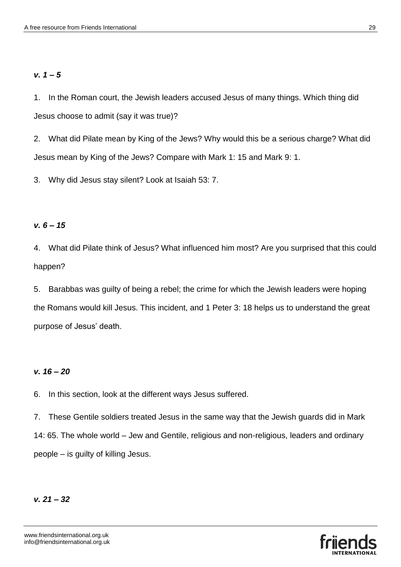#### *v. 1 – 5*

1. In the Roman court, the Jewish leaders accused Jesus of many things. Which thing did Jesus choose to admit (say it was true)?

2. What did Pilate mean by King of the Jews? Why would this be a serious charge? What did Jesus mean by King of the Jews? Compare with Mark 1: 15 and Mark 9: 1.

3. Why did Jesus stay silent? Look at Isaiah 53: 7.

## *v. 6 – 15*

4. What did Pilate think of Jesus? What influenced him most? Are you surprised that this could happen?

5. Barabbas was guilty of being a rebel; the crime for which the Jewish leaders were hoping the Romans would kill Jesus. This incident, and 1 Peter 3: 18 helps us to understand the great purpose of Jesus' death.

#### *v. 16 – 20*

6. In this section, look at the different ways Jesus suffered.

7. These Gentile soldiers treated Jesus in the same way that the Jewish guards did in Mark 14: 65. The whole world – Jew and Gentile, religious and non-religious, leaders and ordinary people – is guilty of killing Jesus.

#### *v. 21 – 32*

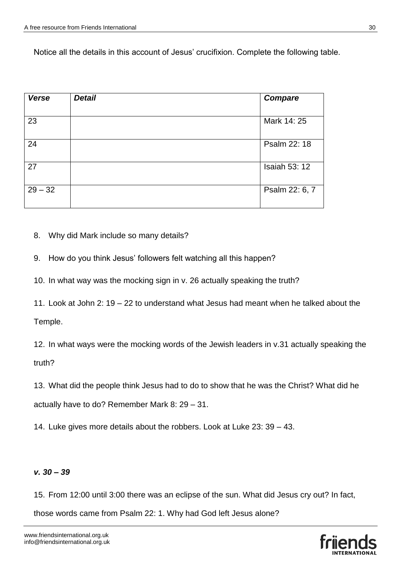Notice all the details in this account of Jesus' crucifixion. Complete the following table.

| <b>Verse</b> | <b>Detail</b> | <b>Compare</b>       |
|--------------|---------------|----------------------|
| 23           |               | Mark 14: 25          |
| 24           |               | Psalm 22: 18         |
| 27           |               | <b>Isaiah 53: 12</b> |
| $29 - 32$    |               | Psalm 22: 6, 7       |

8. Why did Mark include so many details?

9. How do you think Jesus' followers felt watching all this happen?

10. In what way was the mocking sign in v. 26 actually speaking the truth?

11. Look at John 2: 19 – 22 to understand what Jesus had meant when he talked about the Temple.

12. In what ways were the mocking words of the Jewish leaders in v.31 actually speaking the truth?

13. What did the people think Jesus had to do to show that he was the Christ? What did he actually have to do? Remember Mark 8: 29 – 31.

14. Luke gives more details about the robbers. Look at Luke 23: 39 – 43.

# *v. 30 – 39*

15. From 12:00 until 3:00 there was an eclipse of the sun. What did Jesus cry out? In fact,

those words came from Psalm 22: 1. Why had God left Jesus alone?

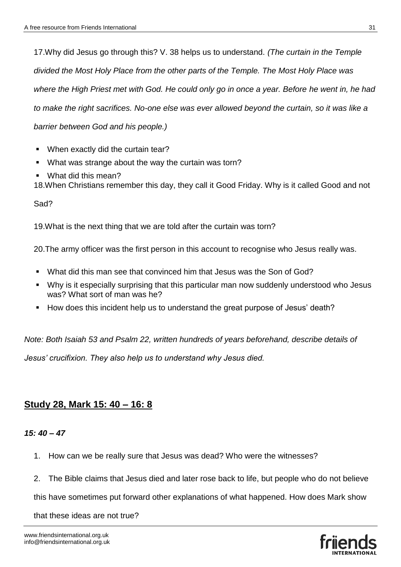17.Why did Jesus go through this? V. 38 helps us to understand. *(The curtain in the Temple divided the Most Holy Place from the other parts of the Temple. The Most Holy Place was where the High Priest met with God. He could only go in once a year. Before he went in, he had to make the right sacrifices. No-one else was ever allowed beyond the curtain, so it was like a barrier between God and his people.)* 

- When exactly did the curtain tear?
- What was strange about the way the curtain was torn?
- What did this mean?
- 18.When Christians remember this day, they call it Good Friday. Why is it called Good and not

Sad?

19.What is the next thing that we are told after the curtain was torn?

20.The army officer was the first person in this account to recognise who Jesus really was.

- What did this man see that convinced him that Jesus was the Son of God?
- Why is it especially surprising that this particular man now suddenly understood who Jesus was? What sort of man was he?
- How does this incident help us to understand the great purpose of Jesus' death?

*Note: Both Isaiah 53 and Psalm 22, written hundreds of years beforehand, describe details of* 

*Jesus' crucifixion. They also help us to understand why Jesus died.*

# **Study 28, Mark 15: 40 – 16: 8**

# *15: 40 – 47*

- 1. How can we be really sure that Jesus was dead? Who were the witnesses?
- 2. The Bible claims that Jesus died and later rose back to life, but people who do not believe

this have sometimes put forward other explanations of what happened. How does Mark show

that these ideas are not true?

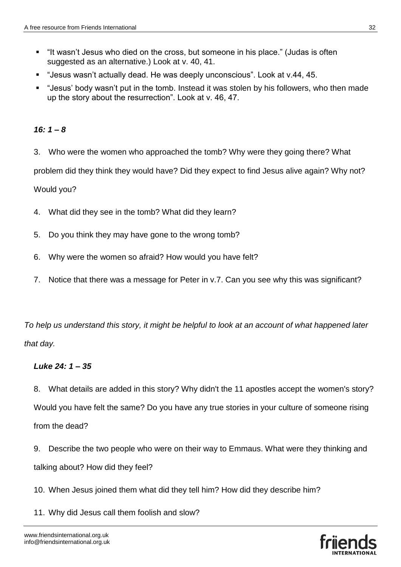- "It wasn't Jesus who died on the cross, but someone in his place." (Judas is often suggested as an alternative.) Look at v. 40, 41.
- "Jesus wasn't actually dead. He was deeply unconscious". Look at v.44, 45.
- "Jesus' body wasn't put in the tomb. Instead it was stolen by his followers, who then made up the story about the resurrection". Look at v. 46, 47.

## *16: 1 – 8*

3. Who were the women who approached the tomb? Why were they going there? What

problem did they think they would have? Did they expect to find Jesus alive again? Why not?

Would you?

- 4. What did they see in the tomb? What did they learn?
- 5. Do you think they may have gone to the wrong tomb?
- 6. Why were the women so afraid? How would you have felt?
- 7. Notice that there was a message for Peter in v.7. Can you see why this was significant?

*To help us understand this story, it might be helpful to look at an account of what happened later that day.*

## *Luke 24: 1 – 35*

8. What details are added in this story? Why didn't the 11 apostles accept the women's story? Would you have felt the same? Do you have any true stories in your culture of someone rising from the dead?

9. Describe the two people who were on their way to Emmaus. What were they thinking and talking about? How did they feel?

10. When Jesus joined them what did they tell him? How did they describe him?

11. Why did Jesus call them foolish and slow?